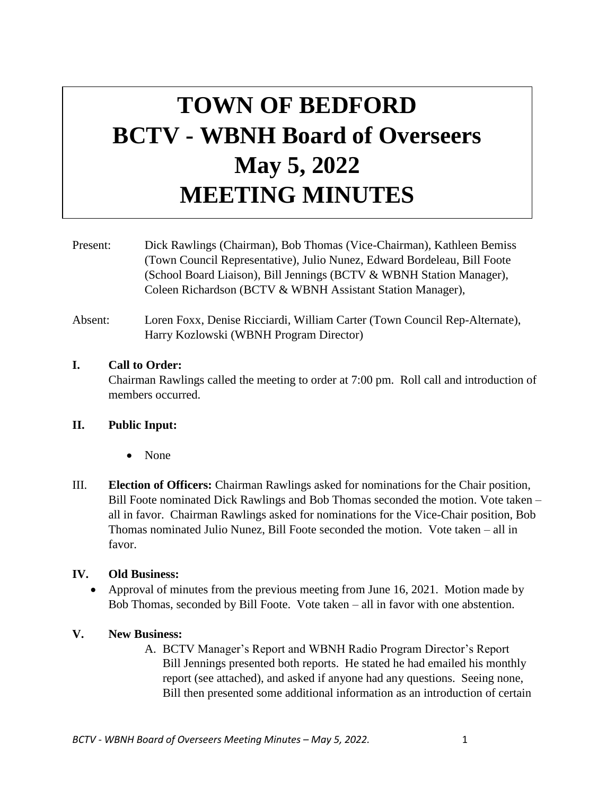# **TOWN OF BEDFORD BCTV - WBNH Board of Overseers May 5, 2022 MEETING MINUTES**

Present: Dick Rawlings (Chairman), Bob Thomas (Vice-Chairman), Kathleen Bemiss (Town Council Representative), Julio Nunez, Edward Bordeleau, Bill Foote (School Board Liaison), Bill Jennings (BCTV & WBNH Station Manager), Coleen Richardson (BCTV & WBNH Assistant Station Manager),

Absent: Loren Foxx, Denise Ricciardi, William Carter (Town Council Rep-Alternate), Harry Kozlowski (WBNH Program Director)

#### **I. Call to Order:**

Chairman Rawlings called the meeting to order at 7:00 pm. Roll call and introduction of members occurred.

## **II. Public Input:**

- None
- III. **Election of Officers:** Chairman Rawlings asked for nominations for the Chair position, Bill Foote nominated Dick Rawlings and Bob Thomas seconded the motion. Vote taken – all in favor. Chairman Rawlings asked for nominations for the Vice-Chair position, Bob Thomas nominated Julio Nunez, Bill Foote seconded the motion. Vote taken – all in favor.

## **IV. Old Business:**

• Approval of minutes from the previous meeting from June 16, 2021. Motion made by Bob Thomas, seconded by Bill Foote. Vote taken – all in favor with one abstention.

## **V. New Business:**

A. BCTV Manager's Report and WBNH Radio Program Director's Report Bill Jennings presented both reports. He stated he had emailed his monthly report (see attached), and asked if anyone had any questions. Seeing none, Bill then presented some additional information as an introduction of certain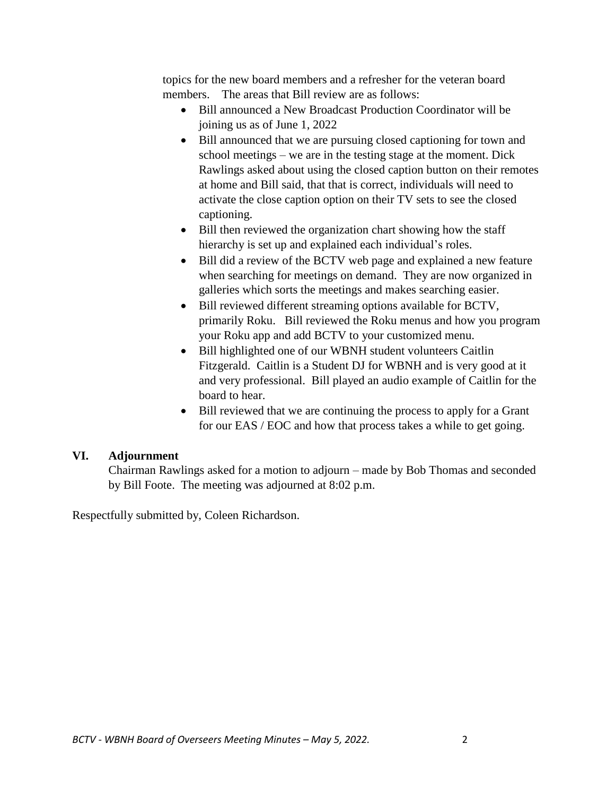topics for the new board members and a refresher for the veteran board members. The areas that Bill review are as follows:

- Bill announced a New Broadcast Production Coordinator will be joining us as of June 1, 2022
- Bill announced that we are pursuing closed captioning for town and school meetings – we are in the testing stage at the moment. Dick Rawlings asked about using the closed caption button on their remotes at home and Bill said, that that is correct, individuals will need to activate the close caption option on their TV sets to see the closed captioning.
- Bill then reviewed the organization chart showing how the staff hierarchy is set up and explained each individual's roles.
- Bill did a review of the BCTV web page and explained a new feature when searching for meetings on demand. They are now organized in galleries which sorts the meetings and makes searching easier.
- Bill reviewed different streaming options available for BCTV, primarily Roku. Bill reviewed the Roku menus and how you program your Roku app and add BCTV to your customized menu.
- Bill highlighted one of our WBNH student volunteers Caitlin Fitzgerald. Caitlin is a Student DJ for WBNH and is very good at it and very professional. Bill played an audio example of Caitlin for the board to hear.
- Bill reviewed that we are continuing the process to apply for a Grant for our EAS / EOC and how that process takes a while to get going.

## **VI. Adjournment**

Chairman Rawlings asked for a motion to adjourn – made by Bob Thomas and seconded by Bill Foote. The meeting was adjourned at 8:02 p.m.

Respectfully submitted by, Coleen Richardson.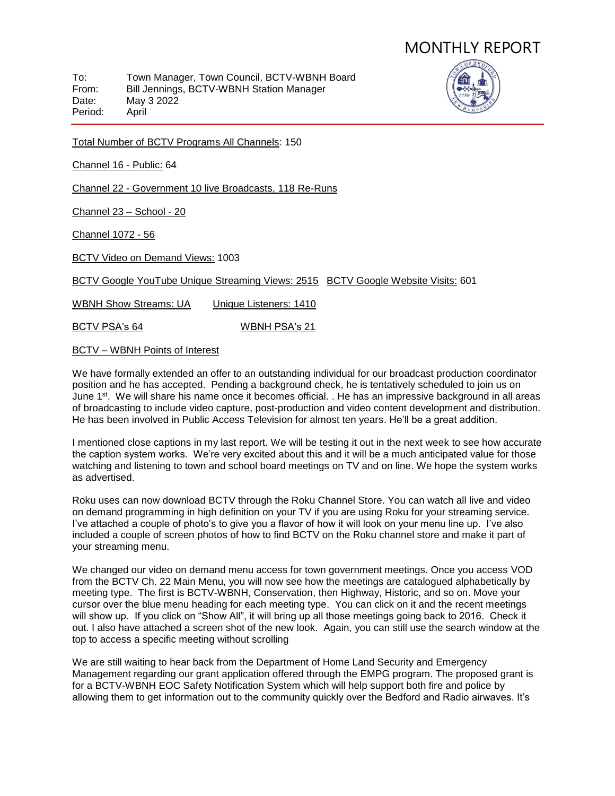To: Town Manager, Town Council, BCTV-WBNH Board<br>From: Bill Jennings. BCTV-WBNH Station Manager Bill Jennings, BCTV-WBNH Station Manager Date: May 3 2022 Period: April



Total Number of BCTV Programs All Channels: 150

Channel 16 - Public: 64

Channel 22 - Government 10 live Broadcasts, 118 Re-Runs

Channel 23 – School - 20

Channel 1072 - 56

BCTV Video on Demand Views: 1003

BCTV Google YouTube Unique Streaming Views: 2515 BCTV Google Website Visits: 601

WBNH Show Streams: UA Unique Listeners: 1410

BCTV PSA's 64 WBNH PSA's 21

#### BCTV – WBNH Points of Interest

We have formally extended an offer to an outstanding individual for our broadcast production coordinator position and he has accepted. Pending a background check, he is tentatively scheduled to join us on June 1<sup>st</sup>. We will share his name once it becomes official. . He has an impressive background in all areas of broadcasting to include video capture, post-production and video content development and distribution. He has been involved in Public Access Television for almost ten years. He'll be a great addition.

I mentioned close captions in my last report. We will be testing it out in the next week to see how accurate the caption system works. We're very excited about this and it will be a much anticipated value for those watching and listening to town and school board meetings on TV and on line. We hope the system works as advertised.

Roku uses can now download BCTV through the Roku Channel Store. You can watch all live and video on demand programming in high definition on your TV if you are using Roku for your streaming service. I've attached a couple of photo's to give you a flavor of how it will look on your menu line up. I've also included a couple of screen photos of how to find BCTV on the Roku channel store and make it part of your streaming menu.

We changed our video on demand menu access for town government meetings. Once you access VOD from the BCTV Ch. 22 Main Menu, you will now see how the meetings are catalogued alphabetically by meeting type. The first is BCTV-WBNH, Conservation, then Highway, Historic, and so on. Move your cursor over the blue menu heading for each meeting type. You can click on it and the recent meetings will show up. If you click on "Show All", it will bring up all those meetings going back to 2016. Check it out. I also have attached a screen shot of the new look. Again, you can still use the search window at the top to access a specific meeting without scrolling

We are still waiting to hear back from the Department of Home Land Security and Emergency Management regarding our grant application offered through the EMPG program. The proposed grant is for a BCTV-WBNH EOC Safety Notification System which will help support both fire and police by allowing them to get information out to the community quickly over the Bedford and Radio airwaves. It's